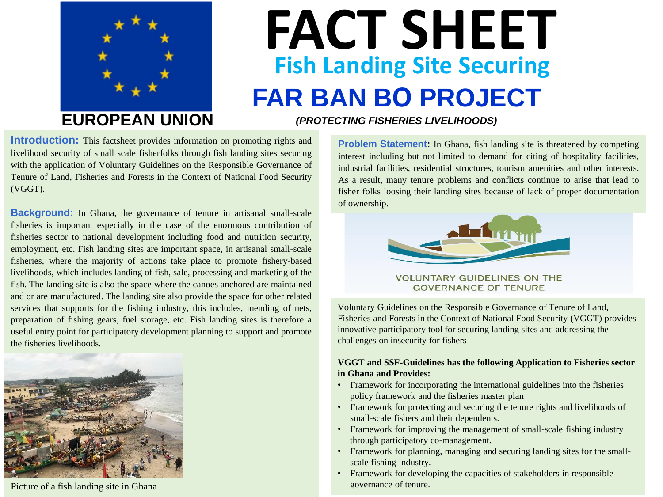

# **FACT SHEET FAR BAN BO PROJECT Fish Landing Site Securing**

**Introduction:** This factsheet provides information on promoting rights and livelihood security of small scale fisherfolks through fish landing sites securing with the application of Voluntary Guidelines on the Responsible Governance of Tenure of Land, Fisheries and Forests in the Context of National Food Security (VGGT).

**Background:** In Ghana, the governance of tenure in artisanal small-scale fisheries is important especially in the case of the enormous contribution of fisheries sector to national development including food and nutrition security, employment, etc. Fish landing sites are important space, in artisanal small-scale fisheries, where the majority of actions take place to promote fishery-based livelihoods, which includes landing of fish, sale, processing and marketing of the fish. The landing site is also the space where the canoes anchored are maintained and or are manufactured. The landing site also provide the space for other related services that supports for the fishing industry, this includes, mending of nets, preparation of fishing gears, fuel storage, etc. Fish landing sites is therefore a useful entry point for participatory development planning to support and promote the fisheries livelihoods.



Picture of a fish landing site in Ghana

**EUROPEAN UNION** *(PROTECTING FISHERIES LIVELIHOODS)*

**Problem Statement:** In Ghana, fish landing site is threatened by competing interest including but not limited to demand for citing of hospitality facilities, industrial facilities, residential structures, tourism amenities and other interests. As a result, many tenure problems and conflicts continue to arise that lead to fisher folks loosing their landing sites because of lack of proper documentation of ownership.



**VOLUNTARY GUIDELINES ON THE GOVERNANCE OF TENURE** 

Voluntary Guidelines on the Responsible Governance of Tenure of Land, Fisheries and Forests in the Context of National Food Security (VGGT) provides innovative participatory tool for securing landing sites and addressing the challenges on insecurity for fishers

### **VGGT and SSF-Guidelines has the following Application to Fisheries sector in Ghana and Provides:**

- Framework for incorporating the international guidelines into the fisheries policy framework and the fisheries master plan
- Framework for protecting and securing the tenure rights and livelihoods of small-scale fishers and their dependents.
- Framework for improving the management of small-scale fishing industry through participatory co-management.
- Framework for planning, managing and securing landing sites for the smallscale fishing industry.
- Framework for developing the capacities of stakeholders in responsible governance of tenure.